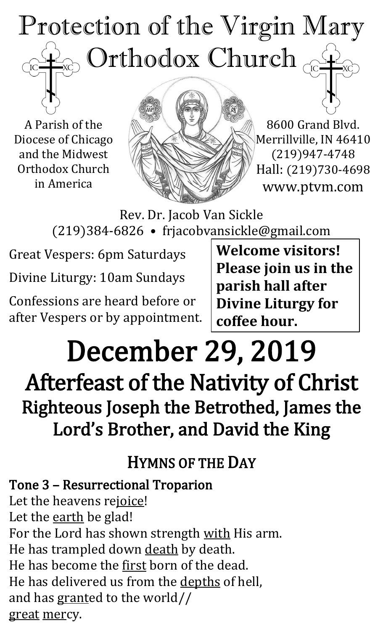## Protection of the Virgin Mary ) Orthodox Church  $_{\odot}$  $\overline{\rm IC}$

A Parish of the Diocese of Chicago and the Midwest Orthodox Church in America



8600 Grand Blvd. Merrillville, IN 46410 (219)947-4748 Hall: (219)730-4698 www.ptvm.com

Rev. Dr. Jacob Van Sickle (219)384-6826 • frjacobvansickle@gmail.com

Great Vespers: 6pm Saturdays

Divine Liturgy: 10am Sundays

Confessions are heard before or after Vespers or by appointment. **Welcome visitors! Please join us in the parish hall after Divine Liturgy for coffee hour.**

# December 29, 2019

Afterfeast of the Nativity of Christ Righteous Joseph the Betrothed, James the Lord's Brother, and David the King

HYMNS OF THE DAY

Tone 3 – Resurrectional Troparion Let the heavens rejoice! Let the earth be glad! For the Lord has shown strength with His arm. He has trampled down death by death. He has become the first born of the dead. He has delivered us from the depths of hell, and has granted to the world// great mercy.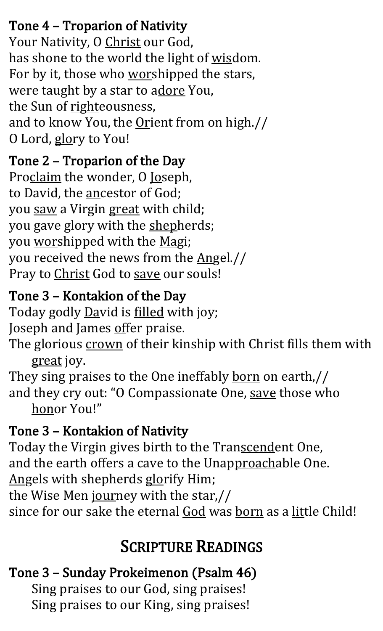### Tone 4 – Troparion of Nativity

Your Nativity, O Christ our God, has shone to the world the light of wisdom. For by it, those who worshipped the stars, were taught by a star to adore You, the Sun of righteousness, and to know You, the  $O$ rient from on high.// O Lord, glory to You!

#### Tone 2 – Troparion of the Day

Proclaim the wonder, O loseph, to David, the ancestor of God; you saw a Virgin great with child; you gave glory with the shepherds; you worshipped with the Magi; you received the news from the Angel.// Pray to Christ God to save our souls!

#### Tone 3 – Kontakion of the Day

Today godly David is filled with joy;

- Joseph and James offer praise.
- The glorious crown of their kinship with Christ fills them with great joy.

They sing praises to the One ineffably born on earth,//

and they cry out: "O Compassionate One, save those who honor You!"

#### Tone 3 – Kontakion of Nativity

Today the Virgin gives birth to the Transcendent One, and the earth offers a cave to the Unapproachable One. Angels with shepherds glorify Him;

the Wise Men journey with the star,//

since for our sake the eternal God was born as a little Child!

## SCRIPTURE READINGS

#### Tone 3 – Sunday Prokeimenon (Psalm 46)

Sing praises to our God, sing praises! Sing praises to our King, sing praises!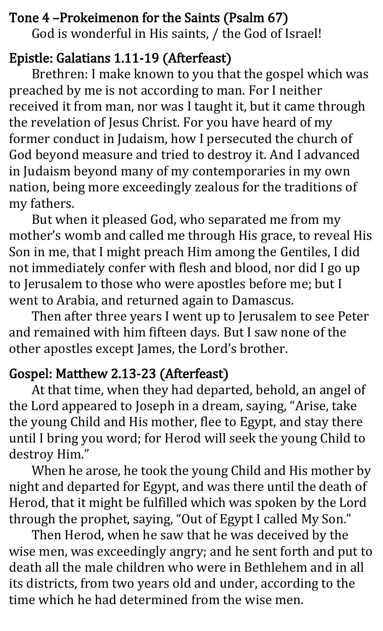#### Tone 4 –Prokeimenon for the Saints (Psalm 67)

God is wonderful in His saints, / the God of Israel!

### Epistle: Galatians 1.11-19 (Afterfeast)

Brethren: I make known to you that the gospel which was preached by me is not according to man. For I neither received it from man, nor was I taught it, but it came through the revelation of Jesus Christ. For you have heard of my former conduct in Judaism, how I persecuted the church of God beyond measure and tried to destroy it. And I advanced in Judaism beyond many of my contemporaries in my own nation, being more exceedingly zealous for the traditions of my fathers.

But when it pleased God, who separated me from my mother's womb and called me through His grace, to reveal His Son in me, that I might preach Him among the Gentiles, I did not immediately confer with flesh and blood, nor did I go up to Jerusalem to those who were apostles before me; but I went to Arabia, and returned again to Damascus.

Then after three years I went up to Jerusalem to see Peter and remained with him fifteen days. But I saw none of the other apostles except James, the Lord's brother.

## Gospel: Matthew 2.13-23 (Afterfeast)

At that time, when they had departed, behold, an angel of the Lord appeared to Joseph in a dream, saying, "Arise, take the young Child and His mother, flee to Egypt, and stay there until I bring you word; for Herod will seek the young Child to destroy Him."

When he arose, he took the young Child and His mother by night and departed for Egypt, and was there until the death of Herod, that it might be fulfilled which was spoken by the Lord through the prophet, saying, "Out of Egypt I called My Son."

Then Herod, when he saw that he was deceived by the wise men, was exceedingly angry; and he sent forth and put to death all the male children who were in Bethlehem and in all its districts, from two years old and under, according to the time which he had determined from the wise men.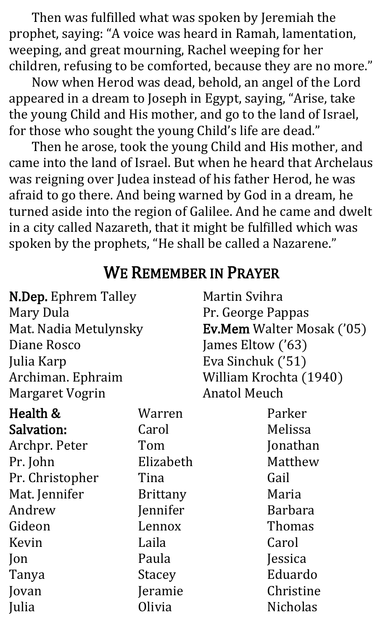Then was fulfilled what was spoken by Jeremiah the prophet, saying: "A voice was heard in Ramah, lamentation, weeping, and great mourning, Rachel weeping for her children, refusing to be comforted, because they are no more."

Now when Herod was dead, behold, an angel of the Lord appeared in a dream to Joseph in Egypt, saying, "Arise, take the young Child and His mother, and go to the land of Israel, for those who sought the young Child's life are dead."

Then he arose, took the young Child and His mother, and came into the land of Israel. But when he heard that Archelaus was reigning over Judea instead of his father Herod, he was afraid to go there. And being warned by God in a dream, he turned aside into the region of Galilee. And he came and dwelt in a city called Nazareth, that it might be fulfilled which was spoken by the prophets, "He shall be called a Nazarene."

#### WE REMEMBER IN PRAYER

| N.Dep. Ephrem Talley   |                 | <b>Martin Svihra</b>             |                 |
|------------------------|-----------------|----------------------------------|-----------------|
| Mary Dula              |                 | Pr. George Pappas                |                 |
| Mat. Nadia Metulynsky  |                 | <b>Ev.Mem</b> Walter Mosak ('05) |                 |
| <b>Diane Rosco</b>     |                 | James Eltow ('63)                |                 |
| Julia Karp             |                 | Eva Sinchuk ('51)                |                 |
| Archiman. Ephraim      |                 | William Krochta (1940)           |                 |
| <b>Margaret Vogrin</b> |                 | <b>Anatol Meuch</b>              |                 |
| Health &               | Warren          |                                  | Parker          |
| Salvation:             | Carol           |                                  | Melissa         |
| Archpr. Peter          | Tom             |                                  | Jonathan        |
| Pr. John               | Elizabeth       |                                  | Matthew         |
| Pr. Christopher        | Tina            |                                  | Gail            |
| Mat. Jennifer          | <b>Brittany</b> |                                  | Maria           |
| Andrew                 | Jennifer        |                                  | <b>Barbara</b>  |
| Gideon                 | Lennox          |                                  | <b>Thomas</b>   |
| Kevin                  | Laila           |                                  | Carol           |
| $\mathsf{lon}$         | Paula           |                                  | Jessica         |
| Tanya                  | <b>Stacey</b>   |                                  | Eduardo         |
| Jovan                  | Jeramie         |                                  | Christine       |
| Julia                  | Olivia          |                                  | <b>Nicholas</b> |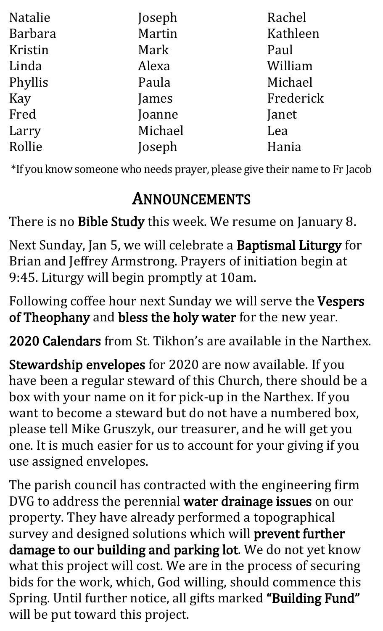| <b>Natalie</b> | Joseph  | Rachel    |
|----------------|---------|-----------|
| <b>Barbara</b> | Martin  | Kathleen  |
| Kristin        | Mark    | Paul      |
| Linda          | Alexa   | William   |
| Phyllis        | Paula   | Michael   |
| Kay            | James   | Frederick |
| Fred           | Joanne  | Janet     |
| Larry          | Michael | Lea       |
| Rollie         | Joseph  | Hania     |

\*If you know someone who needs prayer, please give their name to Fr Jacob

## ANNOUNCEMENTS

There is no Bible Study this week. We resume on January 8.

Next Sunday, Jan 5, we will celebrate a Baptismal Liturgy for Brian and Jeffrey Armstrong. Prayers of initiation begin at 9:45. Liturgy will begin promptly at 10am.

Following coffee hour next Sunday we will serve the Vespers of Theophany and bless the holy water for the new year.

2020 Calendars from St. Tikhon's are available in the Narthex.

Stewardship envelopes for 2020 are now available. If you have been a regular steward of this Church, there should be a box with your name on it for pick-up in the Narthex. If you want to become a steward but do not have a numbered box, please tell Mike Gruszyk, our treasurer, and he will get you one. It is much easier for us to account for your giving if you use assigned envelopes.

The parish council has contracted with the engineering firm DVG to address the perennial water drainage issues on our property. They have already performed a topographical survey and designed solutions which will prevent further damage to our building and parking lot. We do not yet know what this project will cost. We are in the process of securing bids for the work, which, God willing, should commence this Spring. Until further notice, all gifts marked "Building Fund" will be put toward this project.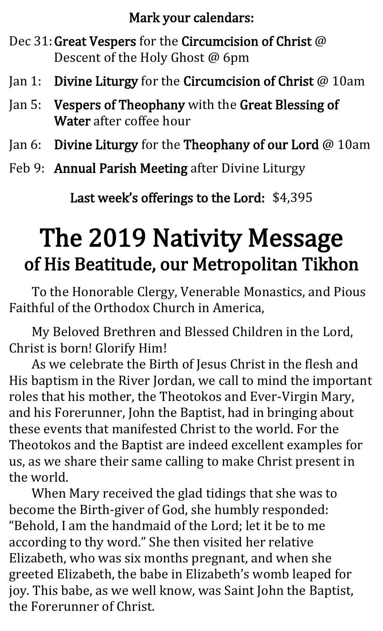#### Mark your calendars:

Dec 31: Great Vespers for the Circumcision of Christ @ Descent of the Holy Ghost @ 6pm

- Jan 1: Divine Liturgy for the Circumcision of Christ @ 10am
- Jan 5: Vespers of Theophany with the Great Blessing of Water after coffee hour
- Jan 6: Divine Liturgy for the Theophany of our Lord @ 10am
- Feb 9: Annual Parish Meeting after Divine Liturgy

Last week's offerings to the Lord: \$4,395

## The 2019 Nativity Message of His Beatitude, our Metropolitan Tikhon

To the Honorable Clergy, Venerable Monastics, and Pious Faithful of the Orthodox Church in America,

My Beloved Brethren and Blessed Children in the Lord, Christ is born! Glorify Him!

As we celebrate the Birth of Jesus Christ in the flesh and His baptism in the River Jordan, we call to mind the important roles that his mother, the Theotokos and Ever-Virgin Mary, and his Forerunner, John the Baptist, had in bringing about these events that manifested Christ to the world. For the Theotokos and the Baptist are indeed excellent examples for us, as we share their same calling to make Christ present in the world.

When Mary received the glad tidings that she was to become the Birth-giver of God, she humbly responded: "Behold, I am the handmaid of the Lord; let it be to me according to thy word." She then visited her relative Elizabeth, who was six months pregnant, and when she greeted Elizabeth, the babe in Elizabeth's womb leaped for joy. This babe, as we well know, was Saint John the Baptist, the Forerunner of Christ.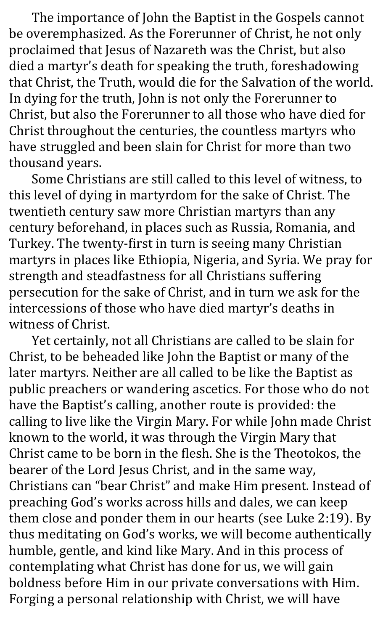The importance of John the Baptist in the Gospels cannot be overemphasized. As the Forerunner of Christ, he not only proclaimed that Jesus of Nazareth was the Christ, but also died a martyr's death for speaking the truth, foreshadowing that Christ, the Truth, would die for the Salvation of the world. In dying for the truth, John is not only the Forerunner to Christ, but also the Forerunner to all those who have died for Christ throughout the centuries, the countless martyrs who have struggled and been slain for Christ for more than two thousand years.

Some Christians are still called to this level of witness, to this level of dying in martyrdom for the sake of Christ. The twentieth century saw more Christian martyrs than any century beforehand, in places such as Russia, Romania, and Turkey. The twenty-first in turn is seeing many Christian martyrs in places like Ethiopia, Nigeria, and Syria. We pray for strength and steadfastness for all Christians suffering persecution for the sake of Christ, and in turn we ask for the intercessions of those who have died martyr's deaths in witness of Christ.

Yet certainly, not all Christians are called to be slain for Christ, to be beheaded like John the Baptist or many of the later martyrs. Neither are all called to be like the Baptist as public preachers or wandering ascetics. For those who do not have the Baptist's calling, another route is provided: the calling to live like the Virgin Mary. For while John made Christ known to the world, it was through the Virgin Mary that Christ came to be born in the flesh. She is the Theotokos, the bearer of the Lord Jesus Christ, and in the same way, Christians can "bear Christ" and make Him present. Instead of preaching God's works across hills and dales, we can keep them close and ponder them in our hearts (see Luke 2:19). By thus meditating on God's works, we will become authentically humble, gentle, and kind like Mary. And in this process of contemplating what Christ has done for us, we will gain boldness before Him in our private conversations with Him. Forging a personal relationship with Christ, we will have